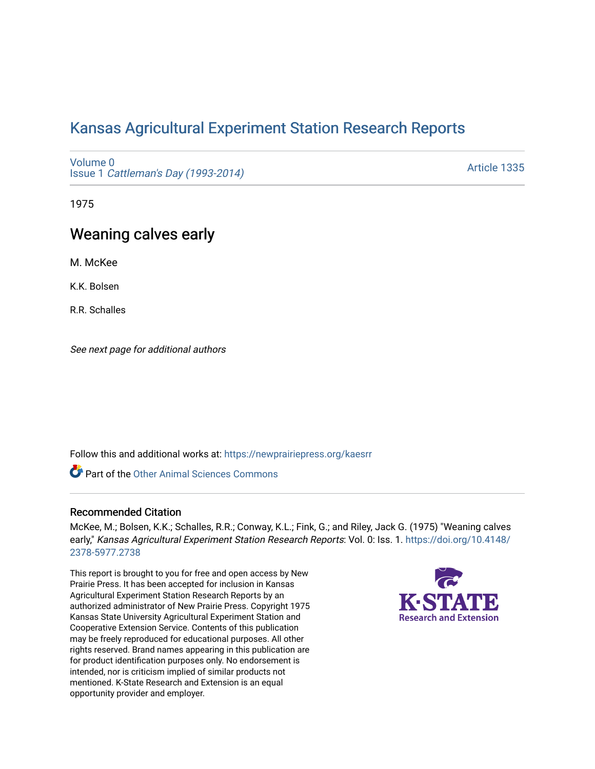# [Kansas Agricultural Experiment Station Research Reports](https://newprairiepress.org/kaesrr)

[Volume 0](https://newprairiepress.org/kaesrr/vol0) Issue 1 [Cattleman's Day \(1993-2014\)](https://newprairiepress.org/kaesrr/vol0/iss1) 

[Article 1335](https://newprairiepress.org/kaesrr/vol0/iss1/1335) 

1975

# Weaning calves early

M. McKee

K.K. Bolsen

R.R. Schalles

See next page for additional authors

Follow this and additional works at: [https://newprairiepress.org/kaesrr](https://newprairiepress.org/kaesrr?utm_source=newprairiepress.org%2Fkaesrr%2Fvol0%2Fiss1%2F1335&utm_medium=PDF&utm_campaign=PDFCoverPages) 

Part of the [Other Animal Sciences Commons](http://network.bepress.com/hgg/discipline/82?utm_source=newprairiepress.org%2Fkaesrr%2Fvol0%2Fiss1%2F1335&utm_medium=PDF&utm_campaign=PDFCoverPages)

#### Recommended Citation

McKee, M.; Bolsen, K.K.; Schalles, R.R.; Conway, K.L.; Fink, G.; and Riley, Jack G. (1975) "Weaning calves early," Kansas Agricultural Experiment Station Research Reports: Vol. 0: Iss. 1. [https://doi.org/10.4148/](https://doi.org/10.4148/2378-5977.2738) [2378-5977.2738](https://doi.org/10.4148/2378-5977.2738) 

This report is brought to you for free and open access by New Prairie Press. It has been accepted for inclusion in Kansas Agricultural Experiment Station Research Reports by an authorized administrator of New Prairie Press. Copyright 1975 Kansas State University Agricultural Experiment Station and Cooperative Extension Service. Contents of this publication may be freely reproduced for educational purposes. All other rights reserved. Brand names appearing in this publication are for product identification purposes only. No endorsement is intended, nor is criticism implied of similar products not mentioned. K-State Research and Extension is an equal opportunity provider and employer.

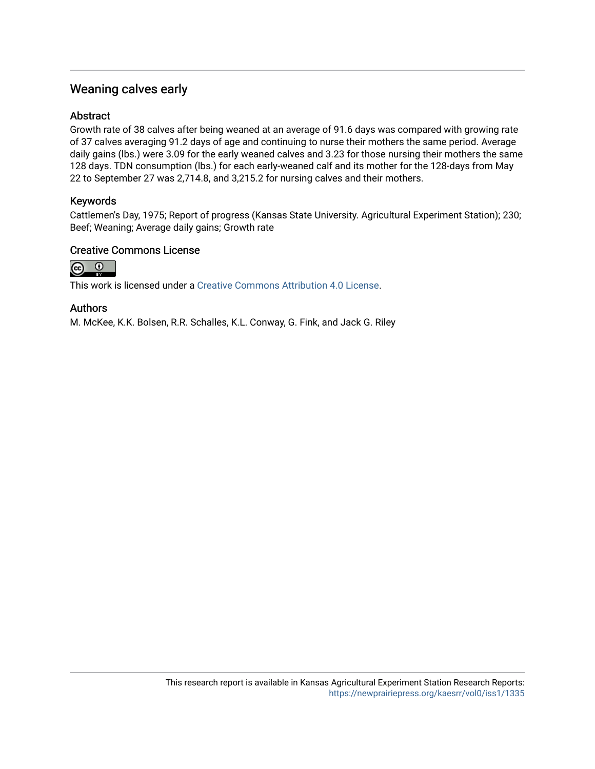## Weaning calves early

#### **Abstract**

Growth rate of 38 calves after being weaned at an average of 91.6 days was compared with growing rate of 37 calves averaging 91.2 days of age and continuing to nurse their mothers the same period. Average daily gains (lbs.) were 3.09 for the early weaned calves and 3.23 for those nursing their mothers the same 128 days. TDN consumption (lbs.) for each early-weaned calf and its mother for the 128-days from May 22 to September 27 was 2,714.8, and 3,215.2 for nursing calves and their mothers.

### Keywords

Cattlemen's Day, 1975; Report of progress (Kansas State University. Agricultural Experiment Station); 230; Beef; Weaning; Average daily gains; Growth rate

#### Creative Commons License



This work is licensed under a [Creative Commons Attribution 4.0 License](https://creativecommons.org/licenses/by/4.0/).

#### Authors

M. McKee, K.K. Bolsen, R.R. Schalles, K.L. Conway, G. Fink, and Jack G. Riley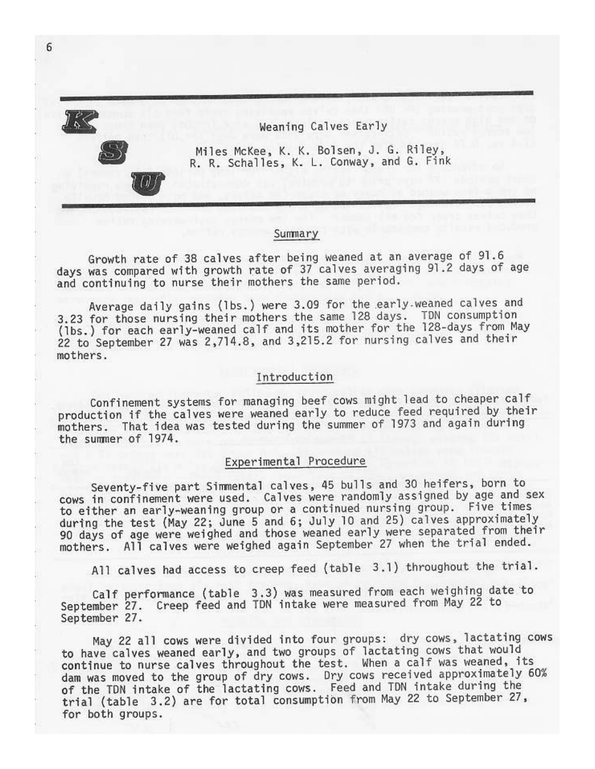

Weaning Calves Early

Miles McKee, K. K. Bolsen, J. G. Riley, R. R. Schalles, K. L. Conway, and G. Fink

#### Summary

Growth rate of 38 calves after being weaned at an average of 91.6 days was compared with growth rate of 37 calves averaging 91.2 days of age and continuing to nurse their mothers the same period.

Average daily gains (lbs.) were 3.09 for the early weaned calves and 3.23 for those nursing their mothers the same 128 days. TDN consumption (1bs.) for each early-weaned calf and its mother for the 128-days from May 22 to September 27 was 2,714.8, and 3,215.2 for nursing calves and their mothers.

#### Introduction

Confinement systems for managing beef cows might lead to cheaper calf production if the calves were weaned early to reduce feed required by their mothers. That idea was tested during the summer of 1973 and again during the summer of 1974.

## Experimental Procedure

Seventy-five part Simmental calves, 45 bulls and 30 heifers, born to cows in confinement were used. Calves were randomly assigned by age and sex to either an early-weaning group or a continued nursing group. Five times during the test (May 22; June 5 and 6; July 10 and 25) calves approximately 90 days of age were weighed and those weaned early were separated from their mothers. All calves were weighed again September 27 when the trial ended.

All calves had access to creep feed (table 3.1) throughout the trial.

Calf performance (table 3.3) was measured from each weighing date to<br>September 27. Creep feed and TDN intake were measured from May 22 to September 27.

May 22 all cows were divided into four groups: dry cows, lactating cows to have calves weaned early, and two groups of lactating cows that would continue to nurse calves throughout the test. When a calf was weaned, its dam was moved to the group of dry cows. Dry cows received approximately 60% of the TDN intake of the lactating cows. Feed and TDN intake during the trial (table 3.2) are for total consumption from May 22 to September 27, for both groups.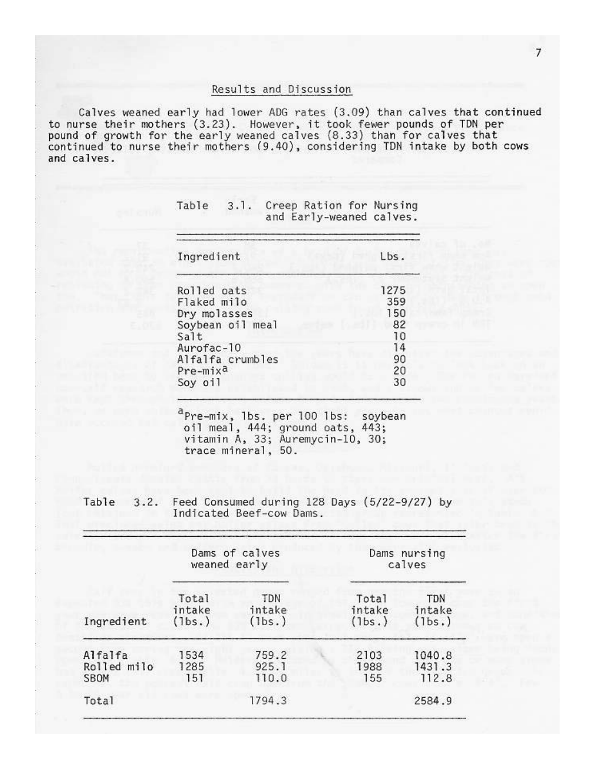#### Results and Discussion

Calves weaned early had lower ADG rates (3.09) than calves that continued<br>to nurse their mothers (3.23). However, it took fewer pounds of TDN per<br>pound of growth for the early weaned calves (8.33) than for calves that<br>cont and calves.

| Ingredient           | Lbs. |
|----------------------|------|
| Rolled oats          | 1275 |
| Flaked milo          | 359  |
| Dry molasses         | 150  |
| Soybean oil meal     | 82   |
| Salt                 | 10   |
| Aurofac-10           | 14   |
| Alfalfa crumbles     | 90   |
| Pre-mix <sup>a</sup> | 20   |
| Soy oil              | 30   |

| Table | 3.1. |  | Creep Ration for Nursing |
|-------|------|--|--------------------------|
|       |      |  | and Early-weaned calves. |

 $a_{\text{Pre-mix, 1bs. per 100 1bs: soybean}}$ <br>oil meal, 444; ground oats, 443;<br>vitamin A, 33; Auremycin-10, 30; trace mineral, 50.

Feed Consumed during 128 Days (5/22-9/27) by Table 3.2. Indicated Beef-cow Dams.

|                                | Dams of calves<br>weaned early |                         | Dams nursing<br>calves    |                                |
|--------------------------------|--------------------------------|-------------------------|---------------------------|--------------------------------|
| Ingredient                     | Total<br>intake<br>(1bs.)      | TDN<br>intake<br>(lbs.) | Total<br>intake<br>(lbs.) | <b>TDN</b><br>intake<br>(1bs.) |
| Alfalfa<br>Rolled milo<br>SBOM | 1534<br>1285<br>151            | 759.2<br>925.1<br>110.0 | 2103<br>1988<br>155       | 1040.8<br>1431.3<br>112.8      |
| Total                          |                                | 1794.3                  |                           | 2584.9                         |